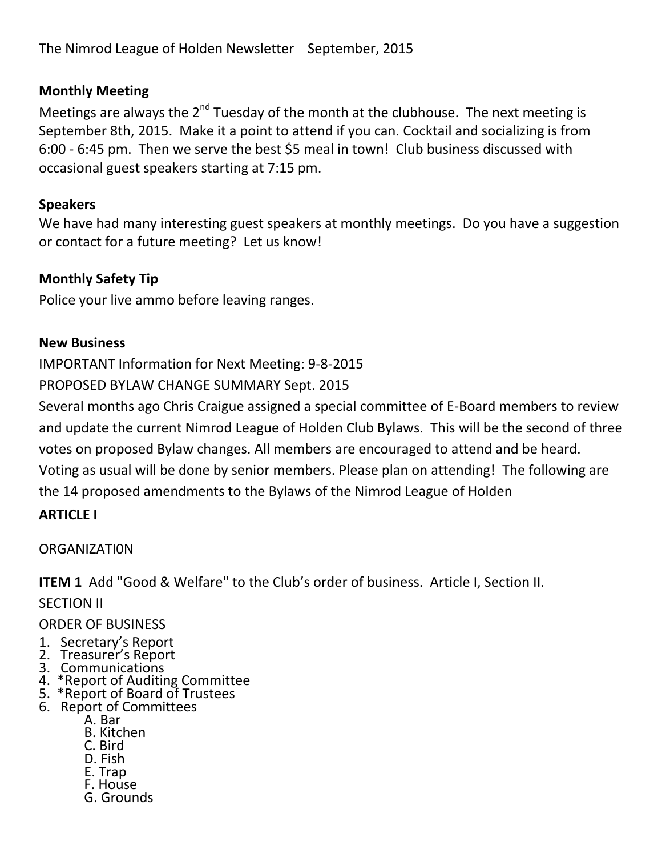The Nimrod League of Holden Newsletter September, 2015

## **Monthly Meeting**

Meetings are always the 2<sup>nd</sup> Tuesday of the month at the clubhouse. The next meeting is September 8th, 2015. Make it a point to attend if you can. Cocktail and socializing is from 6:00 - 6:45 pm. Then we serve the best \$5 meal in town! Club business discussed with occasional guest speakers starting at 7:15 pm.

### **Speakers**

We have had many interesting guest speakers at monthly meetings. Do you have a suggestion or contact for a future meeting? Let us know!

## **Monthly Safety Tip**

Police your live ammo before leaving ranges.

### **New Business**

IMPORTANT Information for Next Meeting: 9-8-2015

PROPOSED BYLAW CHANGE SUMMARY Sept. 2015

Several months ago Chris Craigue assigned a special committee of E-Board members to review and update the current Nimrod League of Holden Club Bylaws. This will be the second of three votes on proposed Bylaw changes. All members are encouraged to attend and be heard. Voting as usual will be done by senior members. Please plan on attending! The following are the 14 proposed amendments to the Bylaws of the Nimrod League of Holden

### **ARTICLE I**

### ORGANIZATI0N

**ITEM 1** Add "Good & Welfare" to the Club's order of business. Article I, Section II.

SECTION II

### ORDER OF BUSINESS

- 1. Secretary's Report
- 2. Treasurer's Report
- 3. Communications
- 4. \*Report of Auditing Committee
- 5. \*Report of Board of Trustees
- 6. Report of Committees
	- A. Bar
	- B. Kitchen
	- C. Bird
	- D. Fish
	- E. Trap
	- F. House
	- G. Grounds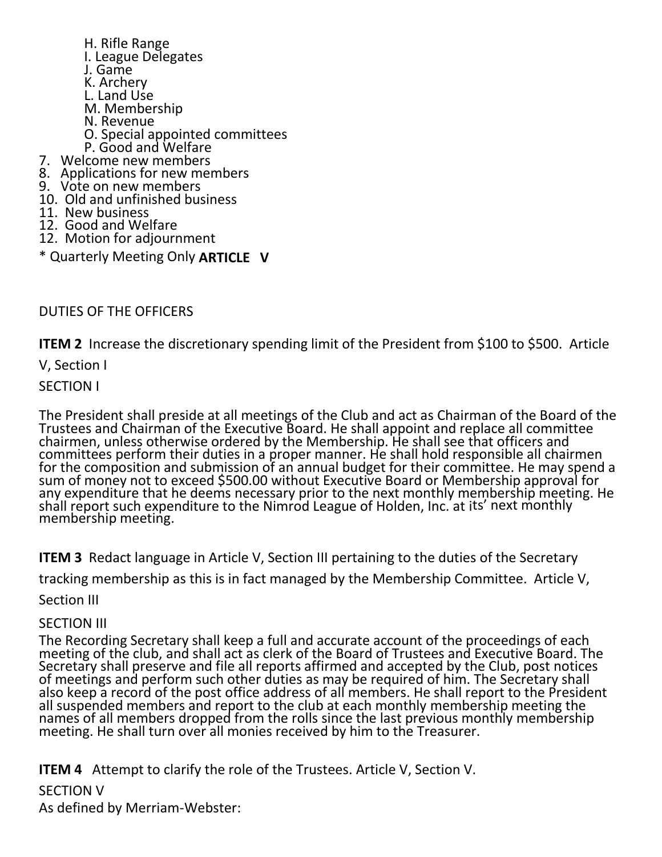H. Rifle Range I. League Delegates J. Game K. Archery L. Land Use M. Membership N. Revenue O. Special appointed committees P. Good and Welfare 7. Welcome new members 8. Applications for new members 9. Vote on new members 10. Old and unfinished business 11. New business 12. Good and Welfare 12. Motion for adjournment \* Quarterly Meeting Only **ARTICLE V**

DUTIES OF THE OFFICERS

**ITEM 2** Increase the discretionary spending limit of the President from \$100 to \$500. Article

V, Section I

SECTION I

The President shall preside at all meetings of the Club and act as Chairman of the Board of the Trustees and Chairman of the Executive Board. He shall appoint and replace all committee chairmen, unless otherwise ordered by the Membership. He shall see that officers and committees perform their duties in a proper manner. He shall hold responsible all chairmen for the composition and submission of an annual budget for their committee. He may spend a sum of money not to exceed \$500.00 without Executive Board or Membership approval for any expenditure that he deems necessary prior to the next monthly membership meeting. He shall report such expenditure to the Nimrod League of Holden, Inc. at its' next monthly membership meeting.

**ITEM 3** Redact language in Article V, Section III pertaining to the duties of the Secretary

tracking membership as this is in fact managed by the Membership Committee. Article V,

Section III

#### SECTION III

The Recording Secretary shall keep a full and accurate account of the proceedings of each meeting of the club, and shall act as clerk of the Board of Trustees and Executive Board. The Secretary shall preserve and file all reports affirmed and accepted by the Club, post notices of meetings and perform such other duties as may be required of him. The Secretary shall also keep a record of the post office address of all members. He shall report to the President all suspended members and report to the club at each monthly membership meeting the names of all members dropped from the rolls since the last previous monthly membership meeting. He shall turn over all monies received by him to the Treasurer.

**ITEM 4** Attempt to clarify the role of the Trustees. Article V, Section V.

SECTION V

As defined by Merriam-Webster: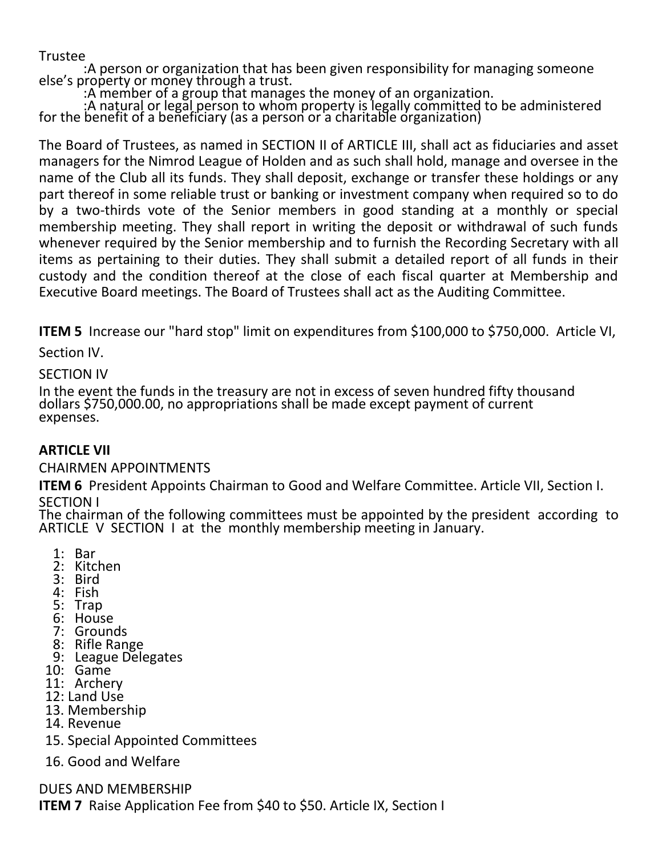Trustee

 :A person or organization that has been given responsibility for managing someone else's property or money through a trust.

:A member of a group that manages the money of an organization.

 :A natural or legal person to whom property is legally committed to be administered for the benefit of a beñeficiary (as a person or a cháritable órganization)

The Board of Trustees, as named in SECTION II of ARTICLE III, shall act as fiduciaries and asset managers for the Nimrod League of Holden and as such shall hold, manage and oversee in the name of the Club all its funds. They shall deposit, exchange or transfer these holdings or any part thereof in some reliable trust or banking or investment company when required so to do by a two-thirds vote of the Senior members in good standing at a monthly or special membership meeting. They shall report in writing the deposit or withdrawal of such funds whenever required by the Senior membership and to furnish the Recording Secretary with all items as pertaining to their duties. They shall submit a detailed report of all funds in their custody and the condition thereof at the close of each fiscal quarter at Membership and Executive Board meetings. The Board of Trustees shall act as the Auditing Committee.

**ITEM 5** Increase our "hard stop" limit on expenditures from \$100,000 to \$750,000. Article VI,

Section IV.

#### SECTION IV

In the event the funds in the treasury are not in excess of seven hundred fifty thousand dollars \$750,000.00, no appropriations shall be made except payment of current expenses.

### **ARTICLE VII**

### CHAIRMEN APPOINTMENTS

**ITEM 6** President Appoints Chairman to Good and Welfare Committee. Article VII, Section I. SECTION I

The chairman of the following committees must be appointed by the president according to ARTICLE V SECTION I at the monthly membership meeting in January.

- 1: Bar
- 2: Kitchen
- 3: Bird
- 4: Fish
- 5: Trap
- 6: House
- 7: Grounds
- 8: Rifle Range
- 9: League Delegates
- 10: Game
- 11: Archery
- 12: Land Use
- 13. Membership
- 14. Revenue
- 15. Special Appointed Committees
- 16. Good and Welfare

DUES AND MEMBERSHIP

**ITEM 7** Raise Application Fee from \$40 to \$50. Article IX, Section I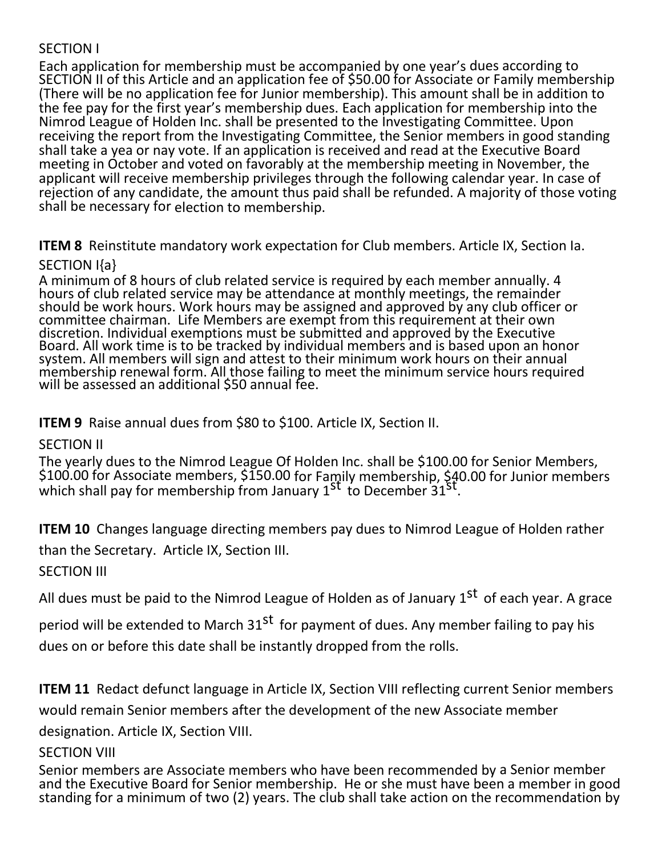## SECTION I

Each application for membership must be accompanied by one year's dues according to SECTION II of this Article and an application fee of \$50.00 for Associate or Family membership (There will be no application fee for Junior membership). This amount shall be in addition to the fee pay for the first year's membership dues. Each application for membership into the Nimrod League of Holden Inc. shall be presented to the Investigating Committee. Upon receiving the report from the Investigating Committee, the Senior members in good standing shall take a yea or nay vote. If an application is received and read at the Executive Board meeting in October and voted on favorably at the membership meeting in November, the applicant will receive membership privileges through the following calendar year. In case of rejection of any candidate, the amount thus paid shall be refunded. A majority of those voting shall be necessary for election to membership.

**ITEM 8** Reinstitute mandatory work expectation for Club members. Article IX, Section Ia.

#### SECTION I{a}

A minimum of 8 hours of club related service is required by each member annually. 4 hours of club related service may be attendance at monthly meetings, the remainder should be work hours. Work hours may be assigned and approved by any club officer or committee chairman. Life Members are exempt from this requirement at their own discretion. Individual exemptions must be submitted and approved by the Executive Board. All work time is to be tracked by individual members and is based upon an honor system. All members will sign and attest to their minimum work hours on their annual membership renewal form. All those failing to meet the minimum service hours required will be assessed an additional \$50 annual fee.

**ITEM 9** Raise annual dues from \$80 to \$100. Article IX, Section II.

## SECTION II

The yearly dues to the Nimrod League Of Holden Inc. shall be \$100.00 for Senior Members, \$100.00 for Associate members, \$150.00 for Family membership, \$40.00 for Junior members which shall pay for membership from January 1<sup>st</sup> to December 31<sup>st</sup>.

**ITEM 10** Changes language directing members pay dues to Nimrod League of Holden rather than the Secretary. Article IX, Section III.

SECTION III

All dues must be paid to the Nimrod League of Holden as of January 1<sup>st</sup> of each year. A grace

period will be extended to March 31<sup>st</sup> for payment of dues. Any member failing to pay his dues on or before this date shall be instantly dropped from the rolls.

**ITEM 11** Redact defunct language in Article IX, Section VIII reflecting current Senior members would remain Senior members after the development of the new Associate member

designation. Article IX, Section VIII.

### **SECTION VIII**

Senior members are Associate members who have been recommended by a Senior member and the Executive Board for Senior membership. He or she must have been a member in good standing for a minimum of two (2) years. The club shall take action on the recommendation by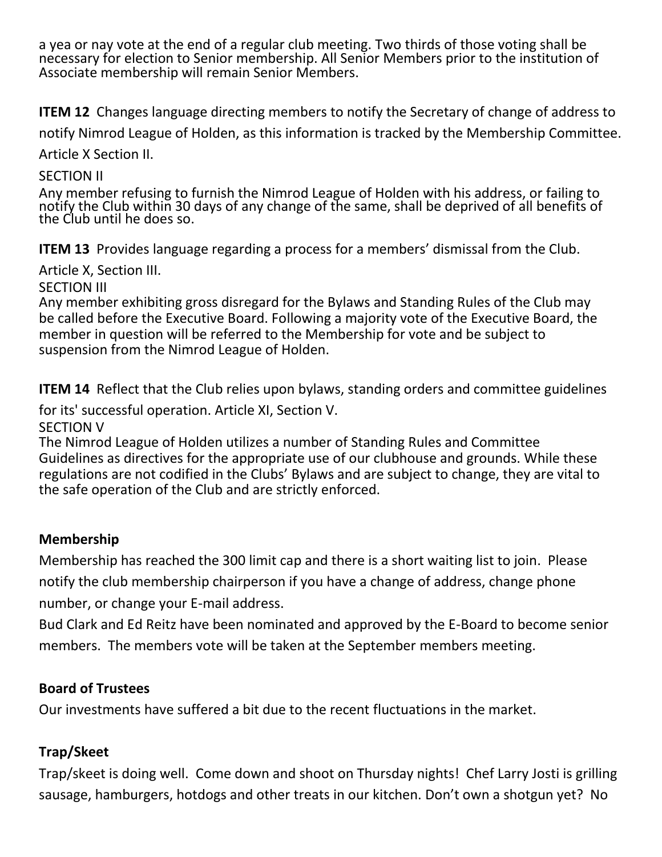a yea or nay vote at the end of a regular club meeting. Two thirds of those voting shall be necessary for election to Senior membership. All Senior Members prior to the institution of Associate membership will remain Senior Members.

**ITEM 12** Changes language directing members to notify the Secretary of change of address to

notify Nimrod League of Holden, as this information is tracked by the Membership Committee.

Article X Section II.

## SECTION II

Any member refusing to furnish the Nimrod League of Holden with his address, or failing to notify the Club within 30 days of any change of the same, shall be deprived of all benefits of the Club until he does so.

**ITEM 13** Provides language regarding a process for a members' dismissal from the Club.

Article X, Section III.

SECTION III

Any member exhibiting gross disregard for the Bylaws and Standing Rules of the Club may be called before the Executive Board. Following a majority vote of the Executive Board, the member in question will be referred to the Membership for vote and be subject to suspension from the Nimrod League of Holden.

**ITEM 14** Reflect that the Club relies upon bylaws, standing orders and committee guidelines

for its' successful operation. Article XI, Section V.

SECTION V

The Nimrod League of Holden utilizes a number of Standing Rules and Committee Guidelines as directives for the appropriate use of our clubhouse and grounds. While these regulations are not codified in the Clubs' Bylaws and are subject to change, they are vital to the safe operation of the Club and are strictly enforced.

## **Membership**

Membership has reached the 300 limit cap and there is a short waiting list to join. Please notify the club membership chairperson if you have a change of address, change phone number, or change your E-mail address.

Bud Clark and Ed Reitz have been nominated and approved by the E-Board to become senior members. The members vote will be taken at the September members meeting.

# **Board of Trustees**

Our investments have suffered a bit due to the recent fluctuations in the market.

# **Trap/Skeet**

Trap/skeet is doing well. Come down and shoot on Thursday nights! Chef Larry Josti is grilling sausage, hamburgers, hotdogs and other treats in our kitchen. Don't own a shotgun yet? No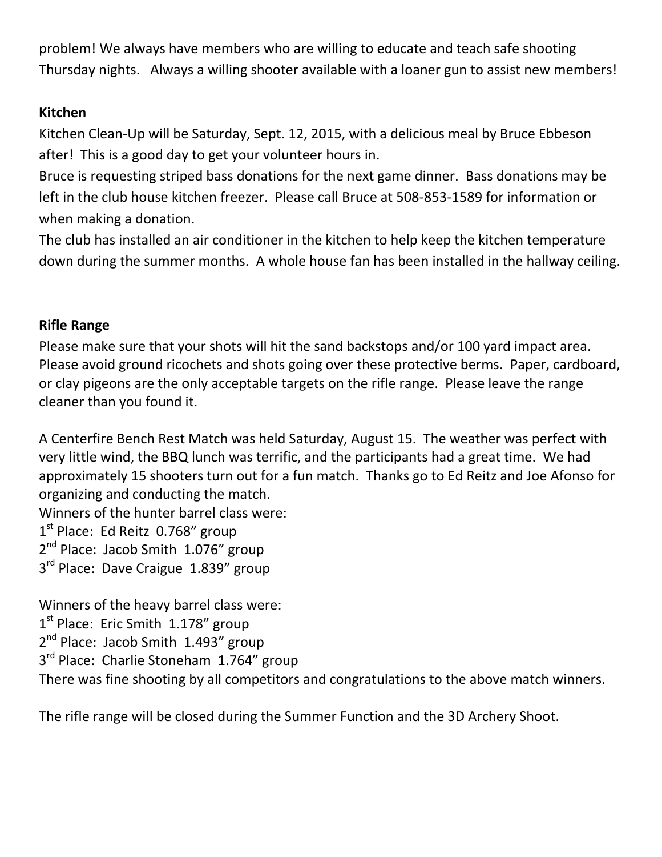problem! We always have members who are willing to educate and teach safe shooting Thursday nights. Always a willing shooter available with a loaner gun to assist new members!

## **Kitchen**

Kitchen Clean-Up will be Saturday, Sept. 12, 2015, with a delicious meal by Bruce Ebbeson after! This is a good day to get your volunteer hours in.

Bruce is requesting striped bass donations for the next game dinner. Bass donations may be left in the club house kitchen freezer. Please call Bruce at 508-853-1589 for information or when making a donation.

The club has installed an air conditioner in the kitchen to help keep the kitchen temperature down during the summer months. A whole house fan has been installed in the hallway ceiling.

## **Rifle Range**

Please make sure that your shots will hit the sand backstops and/or 100 yard impact area. Please avoid ground ricochets and shots going over these protective berms. Paper, cardboard, or clay pigeons are the only acceptable targets on the rifle range. Please leave the range cleaner than you found it.

A Centerfire Bench Rest Match was held Saturday, August 15. The weather was perfect with very little wind, the BBQ lunch was terrific, and the participants had a great time. We had approximately 15 shooters turn out for a fun match. Thanks go to Ed Reitz and Joe Afonso for organizing and conducting the match.

Winners of the hunter barrel class were:

1<sup>st</sup> Place: Ed Reitz 0.768" group

2<sup>nd</sup> Place: Jacob Smith 1.076" group

3<sup>rd</sup> Place: Dave Craigue 1.839" group

Winners of the heavy barrel class were: 1<sup>st</sup> Place: Eric Smith 1.178" group 2<sup>nd</sup> Place: Jacob Smith 1.493" group 3<sup>rd</sup> Place: Charlie Stoneham 1.764" group There was fine shooting by all competitors and congratulations to the above match winners.

The rifle range will be closed during the Summer Function and the 3D Archery Shoot.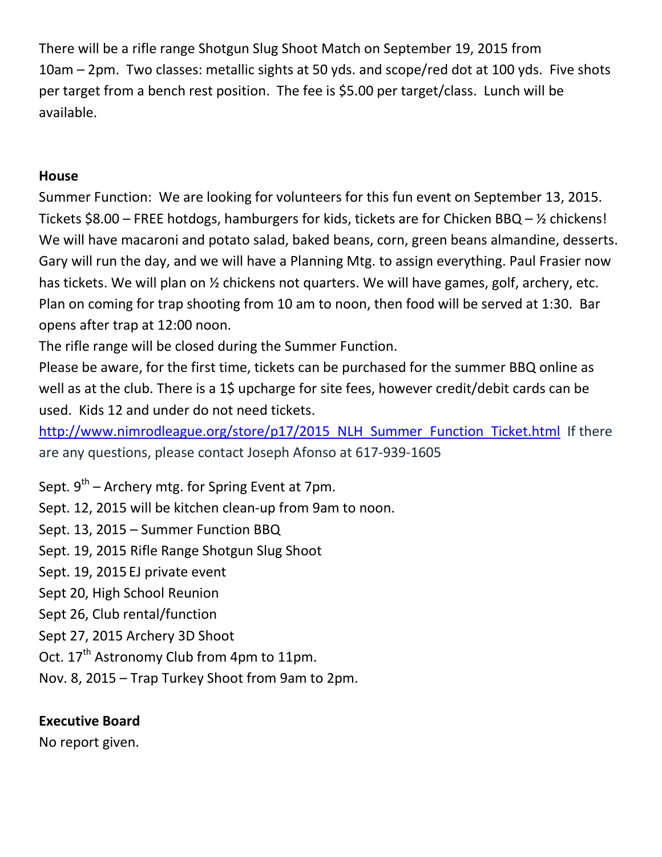There will be a rifle range Shotgun Slug Shoot Match on September 19, 2015 from 10am – 2pm. Two classes: metallic sights at 50 yds. and scope/red dot at 100 yds. Five shots per target from a bench rest position. The fee is \$5.00 per target/class. Lunch will be available.

## **House**

Summer Function: We are looking for volunteers for this fun event on September 13, 2015. Tickets \$8.00 – FREE hotdogs, hamburgers for kids, tickets are for Chicken BBQ – ½ chickens! We will have macaroni and potato salad, baked beans, corn, green beans almandine, desserts. Gary will run the day, and we will have a Planning Mtg. to assign everything. Paul Frasier now has tickets. We will plan on  $\frac{1}{2}$  chickens not quarters. We will have games, golf, archery, etc. Plan on coming for trap shooting from 10 am to noon, then food will be served at 1:30. Bar opens after trap at 12:00 noon.

The rifle range will be closed during the Summer Function.

Please be aware, for the first time, tickets can be purchased for the summer BBQ online as well as at the club. There is a 1\$ upcharge for site fees, however credit/debit cards can be used. Kids 12 and under do not need tickets.

http://www.nimrodleague.org/store/p17/2015 NLH Summer Function Ticket.html If there are any questions, please contact Joseph Afonso at 617-939-1605

Sept. 9<sup>th</sup> – Archery mtg. for Spring Event at 7pm.

Sept. 12, 2015 will be kitchen clean-up from 9am to noon.

Sept. 13, 2015 – Summer Function BBQ

Sept. 19, 2015 Rifle Range Shotgun Slug Shoot

Sept. 19, 2015 EJ private event

Sept 20, High School Reunion

Sept 26, Club rental/function

Sept 27, 2015 Archery 3D Shoot

Oct. 17<sup>th</sup> Astronomy Club from 4pm to 11pm.

Nov. 8, 2015 – Trap Turkey Shoot from 9am to 2pm.

# **Executive Board**

No report given.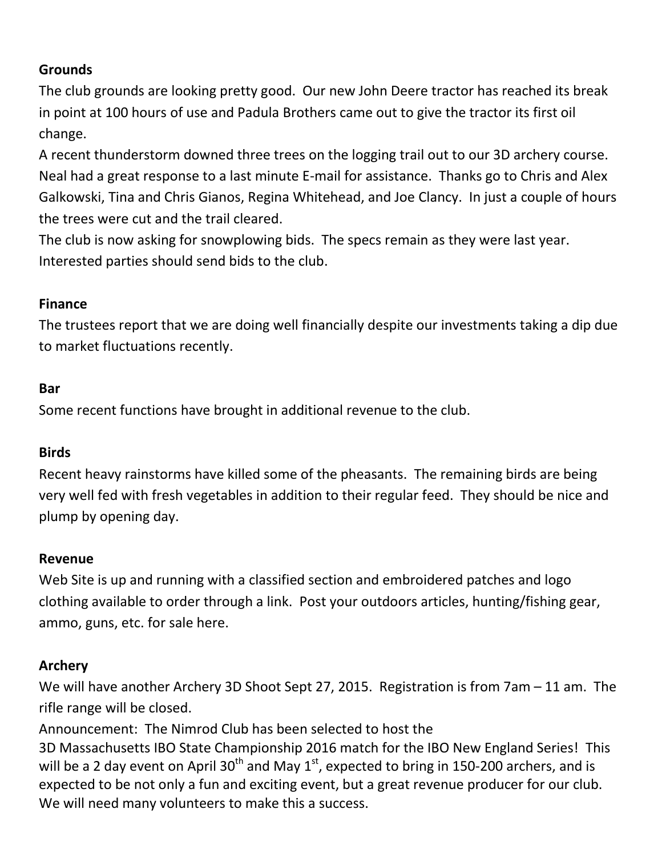# **Grounds**

The club grounds are looking pretty good. Our new John Deere tractor has reached its break in point at 100 hours of use and Padula Brothers came out to give the tractor its first oil change.

A recent thunderstorm downed three trees on the logging trail out to our 3D archery course. Neal had a great response to a last minute E-mail for assistance. Thanks go to Chris and Alex Galkowski, Tina and Chris Gianos, Regina Whitehead, and Joe Clancy. In just a couple of hours the trees were cut and the trail cleared.

The club is now asking for snowplowing bids. The specs remain as they were last year. Interested parties should send bids to the club.

## **Finance**

The trustees report that we are doing well financially despite our investments taking a dip due to market fluctuations recently.

## **Bar**

Some recent functions have brought in additional revenue to the club.

## **Birds**

Recent heavy rainstorms have killed some of the pheasants. The remaining birds are being very well fed with fresh vegetables in addition to their regular feed. They should be nice and plump by opening day.

### **Revenue**

Web Site is up and running with a classified section and embroidered patches and logo clothing available to order through a link. Post your outdoors articles, hunting/fishing gear, ammo, guns, etc. for sale here.

## **Archery**

We will have another Archery 3D Shoot Sept 27, 2015. Registration is from 7am – 11 am. The rifle range will be closed.

Announcement: The Nimrod Club has been selected to host the

3D Massachusetts IBO State Championship 2016 match for the IBO New England Series! This will be a 2 day event on April  $30<sup>th</sup>$  and May 1<sup>st</sup>, expected to bring in 150-200 archers, and is expected to be not only a fun and exciting event, but a great revenue producer for our club. We will need many volunteers to make this a success.